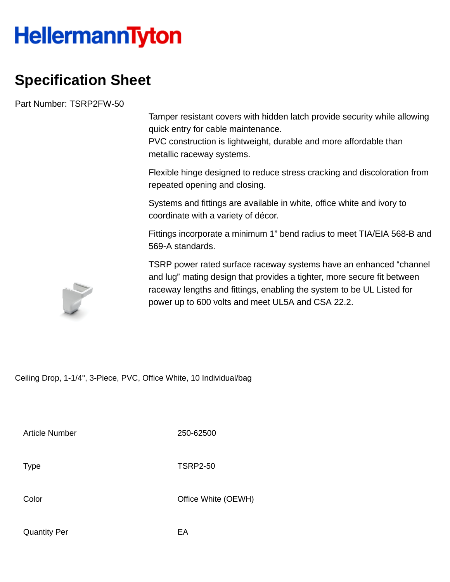## **HellermannTyton**

## **Specification Sheet**

Part Number: TSRP2FW-50

Tamper resistant covers with hidden latch provide security while allowing quick entry for cable maintenance.

PVC construction is lightweight, durable and more affordable than metallic raceway systems.

Flexible hinge designed to reduce stress cracking and discoloration from repeated opening and closing.

Systems and fittings are available in white, office white and ivory to coordinate with a variety of décor.

Fittings incorporate a minimum 1" bend radius to meet TIA/EIA 568-B and 569-A standards.

TSRP power rated surface raceway systems have an enhanced "channel and lug" mating design that provides a tighter, more secure fit between raceway lengths and fittings, enabling the system to be UL Listed for power up to 600 volts and meet UL5A and CSA 22.2.

Ceiling Drop, 1-1/4", 3-Piece, PVC, Office White, 10 Individual/bag

Article Number 250-62500

Type TSRP2-50

Color Color Color Color Color Color Color Color Color Color Color Color Color Color Color Color Color Color Co

Quantity Per **EA**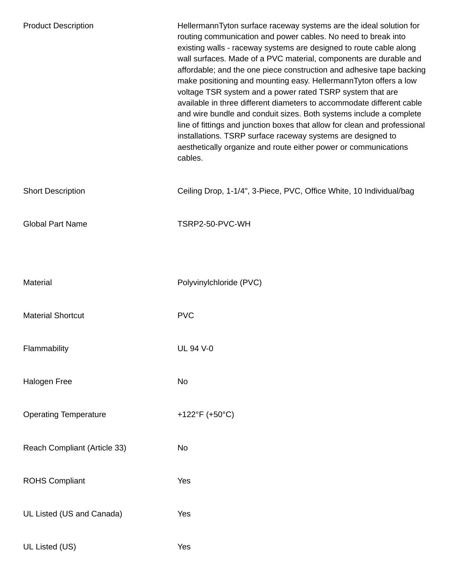| <b>Product Description</b>   | HellermannTyton surface raceway systems are the ideal solution for<br>routing communication and power cables. No need to break into<br>existing walls - raceway systems are designed to route cable along<br>wall surfaces. Made of a PVC material, components are durable and<br>affordable; and the one piece construction and adhesive tape backing<br>make positioning and mounting easy. HellermannTyton offers a low<br>voltage TSR system and a power rated TSRP system that are<br>available in three different diameters to accommodate different cable<br>and wire bundle and conduit sizes. Both systems include a complete<br>line of fittings and junction boxes that allow for clean and professional<br>installations. TSRP surface raceway systems are designed to<br>aesthetically organize and route either power or communications<br>cables. |
|------------------------------|------------------------------------------------------------------------------------------------------------------------------------------------------------------------------------------------------------------------------------------------------------------------------------------------------------------------------------------------------------------------------------------------------------------------------------------------------------------------------------------------------------------------------------------------------------------------------------------------------------------------------------------------------------------------------------------------------------------------------------------------------------------------------------------------------------------------------------------------------------------|
| <b>Short Description</b>     | Ceiling Drop, 1-1/4", 3-Piece, PVC, Office White, 10 Individual/bag                                                                                                                                                                                                                                                                                                                                                                                                                                                                                                                                                                                                                                                                                                                                                                                              |
| <b>Global Part Name</b>      | TSRP2-50-PVC-WH                                                                                                                                                                                                                                                                                                                                                                                                                                                                                                                                                                                                                                                                                                                                                                                                                                                  |
|                              |                                                                                                                                                                                                                                                                                                                                                                                                                                                                                                                                                                                                                                                                                                                                                                                                                                                                  |
| Material                     | Polyvinylchloride (PVC)                                                                                                                                                                                                                                                                                                                                                                                                                                                                                                                                                                                                                                                                                                                                                                                                                                          |
| <b>Material Shortcut</b>     | <b>PVC</b>                                                                                                                                                                                                                                                                                                                                                                                                                                                                                                                                                                                                                                                                                                                                                                                                                                                       |
| Flammability                 | <b>UL 94 V-0</b>                                                                                                                                                                                                                                                                                                                                                                                                                                                                                                                                                                                                                                                                                                                                                                                                                                                 |
| Halogen Free                 | No                                                                                                                                                                                                                                                                                                                                                                                                                                                                                                                                                                                                                                                                                                                                                                                                                                                               |
| <b>Operating Temperature</b> | +122°F (+50°C)                                                                                                                                                                                                                                                                                                                                                                                                                                                                                                                                                                                                                                                                                                                                                                                                                                                   |
| Reach Compliant (Article 33) | No                                                                                                                                                                                                                                                                                                                                                                                                                                                                                                                                                                                                                                                                                                                                                                                                                                                               |
| <b>ROHS Compliant</b>        | Yes                                                                                                                                                                                                                                                                                                                                                                                                                                                                                                                                                                                                                                                                                                                                                                                                                                                              |
| UL Listed (US and Canada)    | Yes                                                                                                                                                                                                                                                                                                                                                                                                                                                                                                                                                                                                                                                                                                                                                                                                                                                              |
| UL Listed (US)               | Yes                                                                                                                                                                                                                                                                                                                                                                                                                                                                                                                                                                                                                                                                                                                                                                                                                                                              |